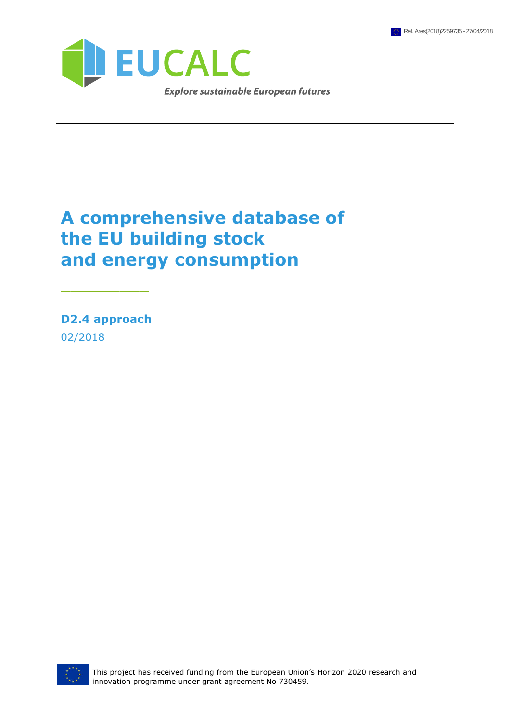

# **A comprehensive database of the EU building stock and energy consumption**

**D2.4 approach** 02/2018

\_\_\_\_\_\_\_\_\_

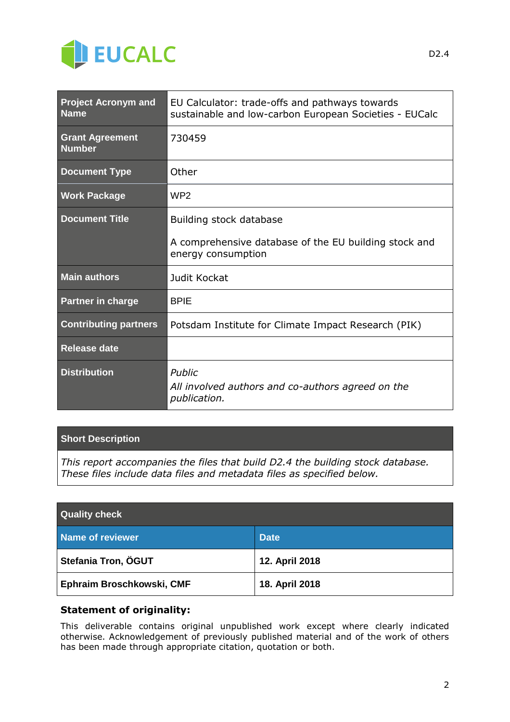

| <b>Project Acronym and</b><br><b>Name</b> | EU Calculator: trade-offs and pathways towards<br>sustainable and low-carbon European Societies - EUCalc |  |  |
|-------------------------------------------|----------------------------------------------------------------------------------------------------------|--|--|
| <b>Grant Agreement</b><br><b>Number</b>   | 730459                                                                                                   |  |  |
| <b>Document Type</b>                      | Other                                                                                                    |  |  |
| <b>Work Package</b>                       | WP <sub>2</sub>                                                                                          |  |  |
| <b>Document Title</b>                     | Building stock database                                                                                  |  |  |
|                                           | A comprehensive database of the EU building stock and<br>energy consumption                              |  |  |
| <b>Main authors</b>                       | Judit Kockat                                                                                             |  |  |
| <b>Partner in charge</b>                  | <b>BPIE</b>                                                                                              |  |  |
| <b>Contributing partners</b>              | Potsdam Institute for Climate Impact Research (PIK)                                                      |  |  |
| <b>Release date</b>                       |                                                                                                          |  |  |
| <b>Distribution</b>                       | Public<br>All involved authors and co-authors agreed on the<br>publication.                              |  |  |

### **Short Description**

*This report accompanies the files that build D2.4 the building stock database. These files include data files and metadata files as specified below.*

| <b>Quality check</b>      |                |  |  |  |
|---------------------------|----------------|--|--|--|
| Name of reviewer          | <b>Date</b>    |  |  |  |
| Stefania Tron, ÖGUT       | 12. April 2018 |  |  |  |
| Ephraim Broschkowski, CMF | 18. April 2018 |  |  |  |

## **Statement of originality:**

This deliverable contains original unpublished work except where clearly indicated otherwise. Acknowledgement of previously published material and of the work of others has been made through appropriate citation, quotation or both.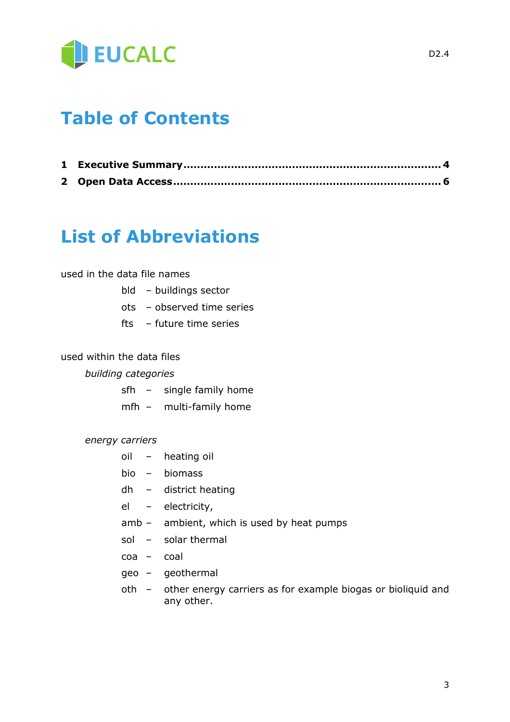

# **Table of Contents**

## **List of Abbreviations**

### used in the data file names

- bld buildings sector
- ots observed time series
- fts future time series

## used within the data files

#### *building categories*

- sfh single family home
- mfh multi-family home

#### *energy carriers*

- oil heating oil
- bio biomass
- dh district heating
- el electricity,
- amb ambient, which is used by heat pumps
- sol solar thermal
- coa coal
- geo geothermal
- oth other energy carriers as for example biogas or bioliquid and any other.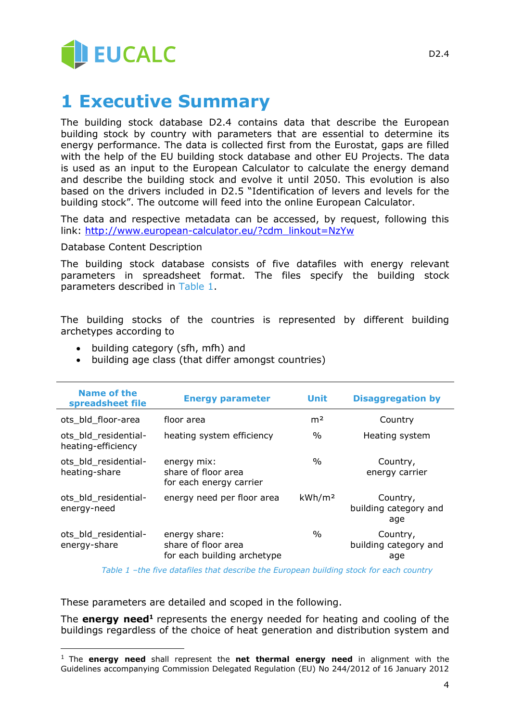

## **1 Executive Summary**

The building stock database D2.4 contains data that describe the European building stock by country with parameters that are essential to determine its energy performance. The data is collected first from the Eurostat, gaps are filled with the help of the EU building stock database and other EU Projects. The data is used as an input to the European Calculator to calculate the energy demand and describe the building stock and evolve it until 2050. This evolution is also based on the drivers included in D2.5 "Identification of levers and levels for the building stock". The outcome will feed into the online European Calculator.

The data and respective metadata can be accessed, by request, following this link: [http://www.european-calculator.eu/?cdm\\_linkout=NzYw](http://www.european-calculator.eu/?cdm_linkout=NzYw)

Database Content Description

The building stock database consists of five datafiles with energy relevant parameters in spreadsheet format. The files specify the building stock parameters described in [Table 1.](#page-3-0)

The building stocks of the countries is represented by different building archetypes according to

- building category (sfh, mfh) and
- building age class (that differ amongst countries)

| Name of the<br>spreadsheet file            | <b>Energy parameter</b>                                             | <b>Unit</b>        | <b>Disaggregation by</b>                 |
|--------------------------------------------|---------------------------------------------------------------------|--------------------|------------------------------------------|
| ots bld floor-area                         | floor area                                                          | m <sup>2</sup>     | Country                                  |
| ots bld residential-<br>heating-efficiency | heating system efficiency                                           | $\%$               | Heating system                           |
| ots_bld_residential-<br>heating-share      | energy mix:<br>share of floor area<br>for each energy carrier       | $\%$               | Country,<br>energy carrier               |
| ots bld residential-<br>energy-need        | energy need per floor area                                          | kWh/m <sup>2</sup> | Country,<br>building category and<br>age |
| ots bld residential-<br>energy-share       | energy share:<br>share of floor area<br>for each building archetype | $\%$               | Country,<br>building category and<br>age |

*Table 1 –the five datafiles that describe the European building stock for each country*

<span id="page-3-0"></span>These parameters are detailed and scoped in the following.

 $\overline{a}$ 

The **energy need<sup>1</sup>** represents the energy needed for heating and cooling of the buildings regardless of the choice of heat generation and distribution system and

<sup>1</sup> The **energy need** shall represent the **net thermal energy need** in alignment with the Guidelines accompanying Commission Delegated Regulation (EU) No 244/2012 of 16 January 2012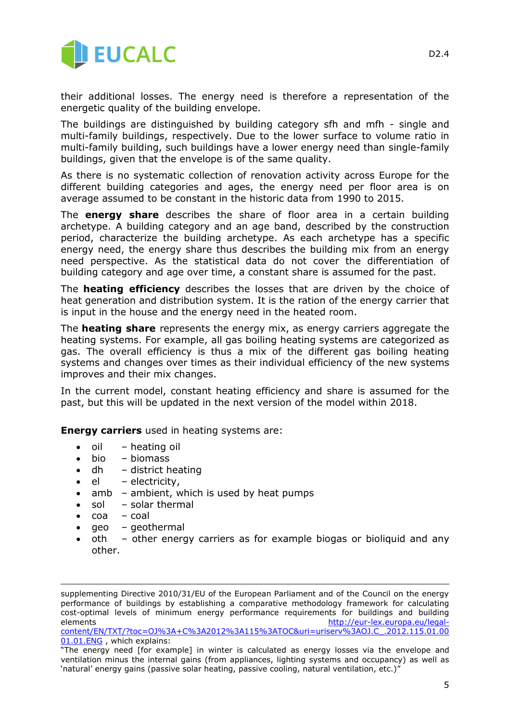

their additional losses. The energy need is therefore a representation of the energetic quality of the building envelope.

The buildings are distinguished by building category sfh and mfh - single and multi-family buildings, respectively. Due to the lower surface to volume ratio in multi-family building, such buildings have a lower energy need than single-family buildings, given that the envelope is of the same quality.

As there is no systematic collection of renovation activity across Europe for the different building categories and ages, the energy need per floor area is on average assumed to be constant in the historic data from 1990 to 2015.

The **energy share** describes the share of floor area in a certain building archetype. A building category and an age band, described by the construction period, characterize the building archetype. As each archetype has a specific energy need, the energy share thus describes the building mix from an energy need perspective. As the statistical data do not cover the differentiation of building category and age over time, a constant share is assumed for the past.

The **heating efficiency** describes the losses that are driven by the choice of heat generation and distribution system. It is the ration of the energy carrier that is input in the house and the energy need in the heated room.

The **heating share** represents the energy mix, as energy carriers aggregate the heating systems. For example, all gas boiling heating systems are categorized as gas. The overall efficiency is thus a mix of the different gas boiling heating systems and changes over times as their individual efficiency of the new systems improves and their mix changes.

In the current model, constant heating efficiency and share is assumed for the past, but this will be updated in the next version of the model within 2018.

**Energy carriers** used in heating systems are:

- oil heating oil
- bio biomass
- $\bullet$  dh district heating
- $\bullet$  el electricity,
- amb ambient, which is used by heat pumps
- sol solar thermal
- coa coal

-

- geo geothermal
- oth other energy carriers as for example biogas or bioliquid and any other.

supplementing Directive 2010/31/EU of the European Parliament and of the Council on the energy performance of buildings by establishing a comparative methodology framework for calculating cost-optimal levels of minimum energy performance requirements for buildings and building elements [http://eur-lex.europa.eu/legal](http://eur-lex.europa.eu/legal-content/EN/TXT/?toc=OJ%3A+C%3A2012%3A115%3ATOC&uri=uriserv%3AOJ.C_.2012.115.01.0001.01.ENG)[content/EN/TXT/?toc=OJ%3A+C%3A2012%3A115%3ATOC&uri=uriserv%3AOJ.C\\_.2012.115.01.00](http://eur-lex.europa.eu/legal-content/EN/TXT/?toc=OJ%3A+C%3A2012%3A115%3ATOC&uri=uriserv%3AOJ.C_.2012.115.01.0001.01.ENG)

[<sup>01.01.</sup>ENG](http://eur-lex.europa.eu/legal-content/EN/TXT/?toc=OJ%3A+C%3A2012%3A115%3ATOC&uri=uriserv%3AOJ.C_.2012.115.01.0001.01.ENG), which explains:

<sup>&</sup>quot;The energy need [for example] in winter is calculated as energy losses via the envelope and ventilation minus the internal gains (from appliances, lighting systems and occupancy) as well as 'natural' energy gains (passive solar heating, passive cooling, natural ventilation, etc.)"